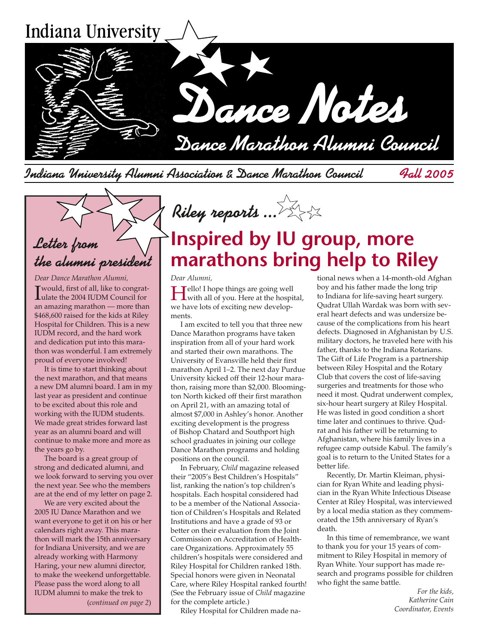

Indiana University Alumni Association & Dance Marathon Council Fall 2005

## Letter from the alumni president

*Dear Dance Marathon Alumni,* I would, first of all, like to congrat-ulate the 2004 IUDM Council for an amazing marathon — more than \$468,600 raised for the kids at Riley Hospital for Children. This is a new IUDM record, and the hard work and dedication put into this marathon was wonderful. I am extremely proud of everyone involved!

It is time to start thinking about the next marathon, and that means a new DM alumni board. I am in my last year as president and continue to be excited about this role and working with the IUDM students. We made great strides forward last year as an alumni board and will continue to make more and more as the years go by.

The board is a great group of strong and dedicated alumni, and we look forward to serving you over the next year. See who the members are at the end of my letter on page 2.

(*continued on page 2*) We are very excited about the 2005 IU Dance Marathon and we want everyone to get it on his or her calendars right away. This marathon will mark the 15th anniversary for Indiana University, and we are already working with Harmony Haring, your new alumni director, to make the weekend unforgettable. Please pass the word along to all IUDM alumni to make the trek to

# **Inspired by IU group, more marathons bring help to Riley**

#### *Dear Alumni,*

Hello! I hope things are going well with all of you. Here at the hospital, we have lots of exciting new developments.

Riley reports ...

I am excited to tell you that three new Dance Marathon programs have taken inspiration from all of your hard work and started their own marathons. The University of Evansville held their first marathon April 1–2. The next day Purdue University kicked off their 12-hour marathon, raising more than \$2,000. Bloomington North kicked off their first marathon on April 21, with an amazing total of almost \$7,000 in Ashley's honor. Another exciting development is the progress of Bishop Chatard and Southport high school graduates in joining our college Dance Marathon programs and holding positions on the council.

In February, *Child* magazine released their "2005's Best Children's Hospitals" list, ranking the nation's top children's hospitals. Each hospital considered had to be a member of the National Association of Children's Hospitals and Related Institutions and have a grade of 93 or better on their evaluation from the Joint Commission on Accreditation of Healthcare Organizations. Approximately 55 children's hospitals were considered and Riley Hospital for Children ranked 18th. Special honors were given in Neonatal Care, where Riley Hospital ranked fourth! (See the February issue of *Child* magazine for the complete article.)

Riley Hospital for Children made na-

tional news when a 14-month-old Afghan boy and his father made the long trip to Indiana for life-saving heart surgery. Qudrat Ullah Wardak was born with several heart defects and was undersize because of the complications from his heart defects. Diagnosed in Afghanistan by U.S. military doctors, he traveled here with his father, thanks to the Indiana Rotarians. The Gift of Life Program is a partnership between Riley Hospital and the Rotary Club that covers the cost of life-saving surgeries and treatments for those who need it most. Qudrat underwent complex, six-hour heart surgery at Riley Hospital. He was listed in good condition a short time later and continues to thrive. Qudrat and his father will be returning to Afghanistan, where his family lives in a refugee camp outside Kabul. The family's goal is to return to the United States for a better life.

Recently, Dr. Martin Kleiman, physician for Ryan White and leading physician in the Ryan White Infectious Disease Center at Riley Hospital, was interviewed by a local media station as they commemorated the 15th anniversary of Ryan's death.

In this time of remembrance, we want to thank you for your 15 years of commitment to Riley Hospital in memory of Ryan White. Your support has made research and programs possible for children who fight the same battle.

> *For the kids, Katherine Cain Coordinator, Events*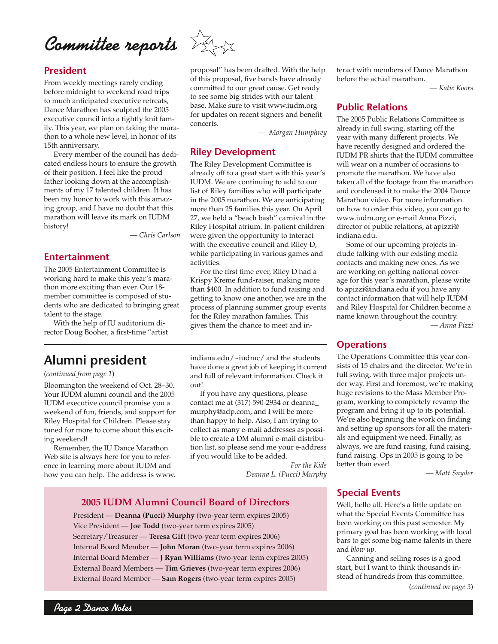Committee reports

#### **President**

From weekly meetings rarely ending before midnight to weekend road trips to much anticipated executive retreats, Dance Marathon has sculpted the 2005 executive council into a tightly knit family. This year, we plan on taking the marathon to a whole new level, in honor of its 15th anniversary.

Every member of the council has dedicated endless hours to ensure the growth of their position. I feel like the proud father looking down at the accomplishments of my 17 talented children. It has been my honor to work with this amazing group, and I have no doubt that this marathon will leave its mark on IUDM history!

 *— Chris Carlson* 

#### **Entertainment**

The 2005 Entertainment Committee is working hard to make this year's marathon more exciting than ever. Our 18 member committee is composed of students who are dedicated to bringing great talent to the stage.

With the help of IU auditorium director Doug Booher, a first-time "artist

## **Alumni president**

#### (*continued from page 1*)

Bloomington the weekend of Oct. 28–30. Your IUDM alumni council and the 2005 IUDM executive council promise you a weekend of fun, friends, and support for Riley Hospital for Children. Please stay tuned for more to come about this exciting weekend!

Remember, the IU Dance Marathon Web site is always here for you to reference in learning more about IUDM and how you can help. The address is www.

indiana.edu/~iudmc/ and the students have done a great job of keeping it current and full of relevant information. Check it  $\Omega$ <sup>11</sup>

For the first time ever, Riley D had a Krispy Kreme fund-raiser, making more than \$400. In addition to fund raising and getting to know one another, we are in the process of planning summer group events for the Riley marathon families. This gives them the chance to meet and in-

If you have any questions, please contact me at (317) 590-2934 or deanna\_ murphy@adp.com, and I will be more than happy to help. Also, I am trying to collect as many e-mail addresses as possible to create a DM alumni e-mail distribution list, so please send me your e-address if you would like to be added.

> *For the Kids Deanna L. (Pucci) Murphy*

### **2005 IUDM Alumni Council Board of Directors**

President — **Deanna (Pucci) Murphy** (two-year term expires 2005) Vice President — **Joe Todd** (two-year term expires 2005) Secretary/Treasurer — **Teresa Gift** (two-year term expires 2006) Internal Board Member — **John Moran** (two-year term expires 2006) Internal Board Member — **J Ryan Williams** (two-year term expires 2005) External Board Members — **Tim Grieves** (two-year term expires 2006) External Board Member — **Sam Rogers** (two-year term expires 2005)

teract with members of Dance Marathon before the actual marathon.

*— Katie Koors*

#### **Public Relations**

The 2005 Public Relations Committee is already in full swing, starting off the year with many different projects. We have recently designed and ordered the IUDM PR shirts that the IUDM committee will wear on a number of occasions to promote the marathon. We have also taken all of the footage from the marathon and condensed it to make the 2004 Dance Marathon video. For more information on how to order this video, you can go to www.iudm.org or e-mail Anna Pizzi, director of public relations, at apizzi@ indiana.edu.

Some of our upcoming projects include talking with our existing media contacts and making new ones. As we are working on getting national coverage for this year's marathon, please write to apizzi@indiana.edu if you have any contact information that will help IUDM and Riley Hospital for Children become a name known throughout the country.

*— Anna Pizzi*

#### **Operations**

The Operations Committee this year consists of 15 chairs and the director. We're in full swing, with three major projects under way. First and foremost, we're making huge revisions to the Mass Member Program, working to completely revamp the program and bring it up to its potential. We're also beginning the work on finding and setting up sponsors for all the materials and equipment we need. Finally, as always, we are fund raising, fund raising, fund raising. Ops in 2005 is going to be better than ever!

*— Matt Snyder*

### **Special Events**

Well, hello all. Here's a little update on what the Special Events Committee has been working on this past semester. My primary goal has been working with local bars to get some big-name talents in there and *blow up*.

Canning and selling roses is a good start, but I want to think thousands instead of hundreds from this committee.

(*continued on page 3*)



concerts.

activities.

**Riley Development**

The Riley Development Committee is already off to a great start with this year's IUDM. We are continuing to add to our list of Riley families who will participate in the 2005 marathon. We are anticipating more than 25 families this year. On April 27, we held a "beach bash" carnival in the Riley Hospital atrium. In-patient children were given the opportunity to interact with the executive council and Riley D, while participating in various games and

proposal" has been drafted. With the help of this proposal, five bands have already committed to our great cause. Get ready to see some big strides with our talent base. Make sure to visit www.iudm.org for updates on recent signers and benefit

*— Morgan Humphrey*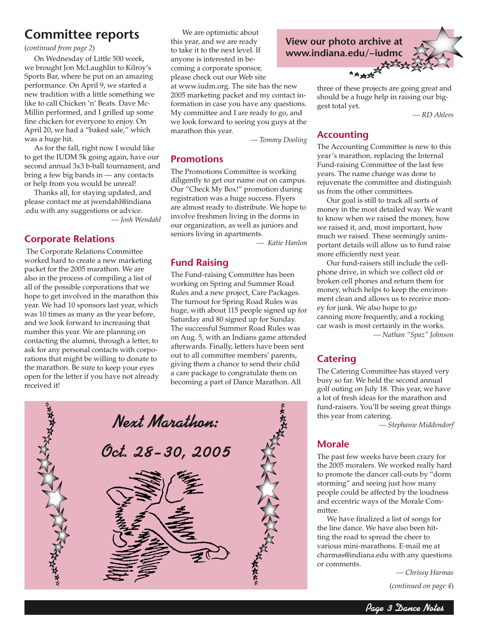## **Committee reports**

(*continued from page 2*)

On Wednesday of Little 500 week, we brought Jon McLaughlin to Kilroy's Sports Bar, where he put on an amazing performance. On April 9, we started a new tradition with a little something we like to call Chicken 'n' Beats. Dave Mc-Millin performed, and I grilled up some fine chicken for everyone to enjoy. On April 20, we had a "baked sale," which was a huge hit.

As for the fall, right now I would like to get the IUDM 5k going again, have our second annual 3x3 b-ball tournament, and bring a few big bands in — any contacts or help from you would be unreal!

Thanks all, for staying updated, and please contact me at jwendahl@indiana .edu with any suggestions or advice.

*— Josh Wendahl*

### **Corporate Relations**

 The Corporate Relations Committee worked hard to create a new marketing packet for the 2005 marathon. We are also in the process of compiling a list of all of the possible corporations that we hope to get involved in the marathon this year. We had 10 sponsors last year, which was 10 times as many as the year before, and we look forward to increasing that number this year. We are planning on contacting the alumni, through a letter, to ask for any personal contacts with corporations that might be willing to donate to the marathon. Be sure to keep your eyes open for the letter if you have not already received it!

 We are optimistic about this year, and we are ready to take it to the next level. If anyone is interested in becoming a corporate sponsor, please check out our Web site

at www.iudm.org. The site has the new 2005 marketing packet and my contact information in case you have any questions. My committee and I are ready to go, and we look forward to seeing you guys at the marathon this year.

 *— Tommy Dooling*

### **Promotions**

The Promotions Committee is working diligently to get our name out on campus. Our "Check My Box!" promotion during registration was a huge success. Flyers are almost ready to distribute. We hope to involve freshmen living in the dorms in our organization, as well as juniors and seniors living in apartments.

*— Katie Hanlon*

#### **Fund Raising**

The Fund-raising Committee has been working on Spring and Summer Road Rules and a new project, Care Packages. The turnout for Spring Road Rules was huge, with about 115 people signed up for Saturday and 80 signed up for Sunday. The successful Summer Road Rules was on Aug. 5, with an Indians game attended afterwards. Finally, letters have been sent out to all committee members' parents, giving them a chance to send their child a care package to congratulate them on becoming a part of Dance Marathon. All



**View our photo archive at www.indiana.edu/~iudmc**

> three of these projects are going great and should be a huge help in raising our biggest total yet.

> > *— RD Ahlers*

#### **Accounting**

The Accounting Committee is new to this year's marathon, replacing the Internal Fund-raising Committee of the last few years. The name change was done to rejuvenate the committee and distinguish us from the other committees.

Our goal is still to track all sorts of money in the most detailed way. We want to know when we raised the money, how we raised it, and, most important, how much we raised. These seemingly unimportant details will allow us to fund raise more efficiently next year.

Our fund-raisers still include the cellphone drive, in which we collect old or broken cell phones and return them for money, which helps to keep the environment clean and allows us to receive money for junk. We also hope to go canning more frequently, and a rocking car wash is most certainly in the works.  *— Nathan "Spaz" Johnson*

### **Catering**

The Catering Committee has stayed very busy so far. We held the second annual golf outing on July 18. This year, we have a lot of fresh ideas for the marathon and fund-raisers. You'll be seeing great things this year from catering.

 *— Stephanie Middendorf*

### **Morale**

The past few weeks have been crazy for the 2005 moralers. We worked really hard to promote the dancer call-outs by "dorm storming" and seeing just how many people could be affected by the loudness and eccentric ways of the Morale Committee.

We have finalized a list of songs for the line dance. We have also been hitting the road to spread the cheer to various mini-marathons. E-mail me at charmas@indiana.edu with any questions or comments.

 *— Chrissy Harmas*

(*continued on page 4*)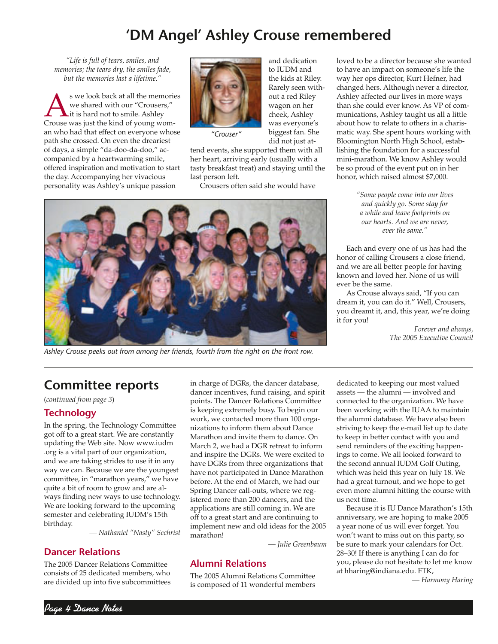## **'DM Angel' Ashley Crouse remembered**

*"Life is full of tears, smiles, and memories; the tears dry, the smiles fade, but the memories last a lifetime."*

S we look back at all the memories<br>we shared with our "Crousers,"<br>Crouse was just the kind of young womwe shared with our "Crousers," it is hard not to smile. Ashley Crouse was just the kind of young woman who had that effect on everyone whose path she crossed. On even the dreariest of days, a simple "da-doo-da-doo," accompanied by a heartwarming smile, offered inspiration and motivation to start the day. Accompanying her vivacious personality was Ashley's unique passion



and dedication to ILIDM and the kids at Riley. Rarely seen without a red Riley wagon on her cheek, Ashley was everyone's biggest fan. She did not just at-

*"Crouser"*

tend events, she supported them with all her heart, arriving early (usually with a tasty breakfast treat) and staying until the last person left.

Crousers often said she would have



*Ashley Crouse peeks out from among her friends, fourth from the right on the front row.*

loved to be a director because she wanted to have an impact on someone's life the way her ops director, Kurt Hefner, had changed hers. Although never a director, Ashley affected our lives in more ways than she could ever know. As VP of communications, Ashley taught us all a little about how to relate to others in a charismatic way. She spent hours working with Bloomington North High School, establishing the foundation for a successful mini-marathon. We know Ashley would be so proud of the event put on in her honor, which raised almost \$7,000.

> *"Some people come into our lives and quickly go. Some stay for a while and leave footprints on our hearts. And we are never, ever the same."*

Each and every one of us has had the honor of calling Crousers a close friend, and we are all better people for having known and loved her. None of us will ever be the same.

As Crouse always said, "If you can dream it, you can do it." Well, Crousers, you dreamt it, and, this year, we're doing it for you!

> *Forever and always, The 2005 Executive Council*

## **Committee reports**

(*continued from page 3*)

#### **Technology**

In the spring, the Technology Committee got off to a great start. We are constantly updating the Web site. Now www.iudm .org is a vital part of our organization, and we are taking strides to use it in any way we can. Because we are the youngest committee, in "marathon years," we have quite a bit of room to grow and are always finding new ways to use technology. We are looking forward to the upcoming semester and celebrating IUDM's 15th birthday.

 *— Nathaniel "Nasty" Sechrist*

#### **Dancer Relations**

The 2005 Dancer Relations Committee consists of 25 dedicated members, who are divided up into five subcommittees

in charge of DGRs, the dancer database, dancer incentives, fund raising, and spirit points. The Dancer Relations Committee is keeping extremely busy. To begin our work, we contacted more than 100 organizations to inform them about Dance Marathon and invite them to dance. On March 2, we had a DGR retreat to inform and inspire the DGRs. We were excited to have DGRs from three organizations that have not participated in Dance Marathon before. At the end of March, we had our Spring Dancer call-outs, where we registered more than 200 dancers, and the applications are still coming in. We are off to a great start and are continuing to implement new and old ideas for the 2005 marathon!

*— Julie Greenbaum*

### **Alumni Relations**

The 2005 Alumni Relations Committee is composed of 11 wonderful members dedicated to keeping our most valued assets — the alumni — involved and connected to the organization. We have been working with the IUAA to maintain the alumni database. We have also been striving to keep the e-mail list up to date to keep in better contact with you and send reminders of the exciting happenings to come. We all looked forward to the second annual IUDM Golf Outing, which was held this year on July 18. We had a great turnout, and we hope to get even more alumni hitting the course with us next time.

Because it is IU Dance Marathon's 15th anniversary, we are hoping to make 2005 a year none of us will ever forget. You won't want to miss out on this party, so be sure to mark your calendars for Oct. 28–30! If there is anything I can do for you, please do not hesitate to let me know at hharing@indiana.edu. FTK,

*— Harmony Haring*

Page 4 Dance Notes